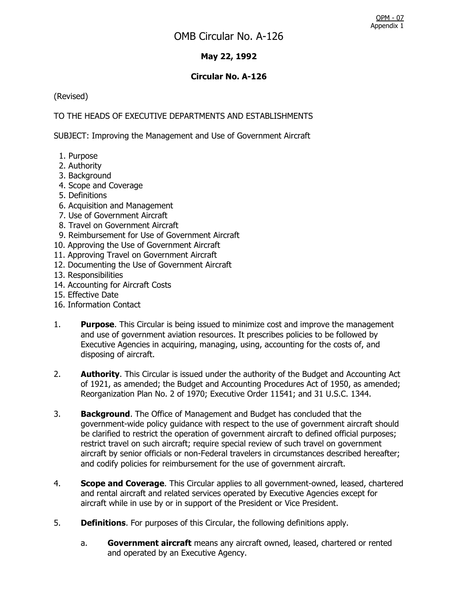## **May 22, 1992**

#### **Circular No. A-126**

(Revised)

## TO THE HEADS OF EXECUTIVE DEPARTMENTS AND ESTABLISHMENTS

SUBJECT: Improving the Management and Use of Government Aircraft

- 1. Purpose
- 2. Authority
- 3. Background
- 4. Scope and Coverage
- 5. Definitions
- 6. Acquisition and Management
- 7. Use of Government Aircraft
- 8. Travel on Government Aircraft
- 9. Reimbursement for Use of Government Aircraft
- 10. Approving the Use of Government Aircraft
- 11. Approving Travel on Government Aircraft
- 12. Documenting the Use of Government Aircraft
- 13. Responsibilities
- 14. Accounting for Aircraft Costs
- 15. Effective Date
- 16. Information Contact
- 1. **Purpose**. This Circular is being issued to minimize cost and improve the management and use of government aviation resources. It prescribes policies to be followed by Executive Agencies in acquiring, managing, using, accounting for the costs of, and disposing of aircraft.
- 2. **Authority**. This Circular is issued under the authority of the Budget and Accounting Act of 1921, as amended; the Budget and Accounting Procedures Act of 1950, as amended; Reorganization Plan No. 2 of 1970; Executive Order 11541; and 31 U.S.C. 1344.
- 3. **Background**. The Office of Management and Budget has concluded that the government-wide policy guidance with respect to the use of government aircraft should be clarified to restrict the operation of government aircraft to defined official purposes; restrict travel on such aircraft; require special review of such travel on government aircraft by senior officials or non-Federal travelers in circumstances described hereafter; and codify policies for reimbursement for the use of government aircraft.
- 4. **Scope and Coverage**. This Circular applies to all government-owned, leased, chartered and rental aircraft and related services operated by Executive Agencies except for aircraft while in use by or in support of the President or Vice President.
- 5. **Definitions**. For purposes of this Circular, the following definitions apply.
	- a. **Government aircraft** means any aircraft owned, leased, chartered or rented and operated by an Executive Agency.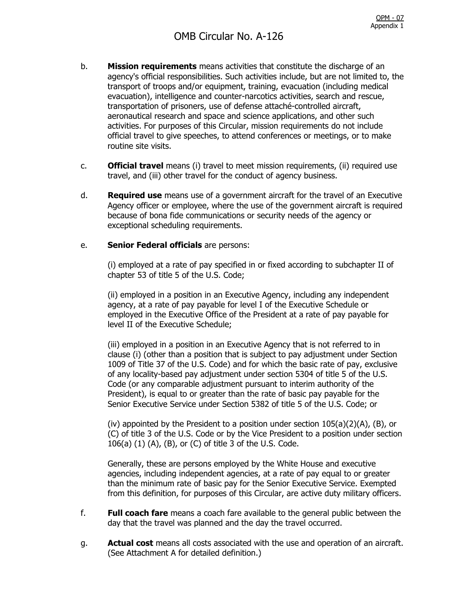- b. **Mission requirements** means activities that constitute the discharge of an agency's official responsibilities. Such activities include, but are not limited to, the transport of troops and/or equipment, training, evacuation (including medical evacuation), intelligence and counter-narcotics activities, search and rescue, transportation of prisoners, use of defense attaché-controlled aircraft, aeronautical research and space and science applications, and other such activities. For purposes of this Circular, mission requirements do not include official travel to give speeches, to attend conferences or meetings, or to make routine site visits.
- c. **Official travel** means (i) travel to meet mission requirements, (ii) required use travel, and (iii) other travel for the conduct of agency business.
- d. **Required use** means use of a government aircraft for the travel of an Executive Agency officer or employee, where the use of the government aircraft is required because of bona fide communications or security needs of the agency or exceptional scheduling requirements.

#### e. **Senior Federal officials** are persons:

(i) employed at a rate of pay specified in or fixed according to subchapter II of chapter 53 of title 5 of the U.S. Code;

(ii) employed in a position in an Executive Agency, including any independent agency, at a rate of pay payable for level I of the Executive Schedule or employed in the Executive Office of the President at a rate of pay payable for level II of the Executive Schedule;

(iii) employed in a position in an Executive Agency that is not referred to in clause (i) (other than a position that is subject to pay adjustment under Section 1009 of Title 37 of the U.S. Code) and for which the basic rate of pay, exclusive of any locality-based pay adjustment under section 5304 of title 5 of the U.S. Code (or any comparable adjustment pursuant to interim authority of the President), is equal to or greater than the rate of basic pay payable for the Senior Executive Service under Section 5382 of title 5 of the U.S. Code; or

(iv) appointed by the President to a position under section  $105(a)(2)(A)$ , (B), or (C) of title 3 of the U.S. Code or by the Vice President to a position under section 106(a) (1) (A), (B), or (C) of title 3 of the U.S. Code.

Generally, these are persons employed by the White House and executive agencies, including independent agencies, at a rate of pay equal to or greater than the minimum rate of basic pay for the Senior Executive Service. Exempted from this definition, for purposes of this Circular, are active duty military officers.

- f. **Full coach fare** means a coach fare available to the general public between the day that the travel was planned and the day the travel occurred.
- g. **Actual cost** means all costs associated with the use and operation of an aircraft. (See Attachment A for detailed definition.)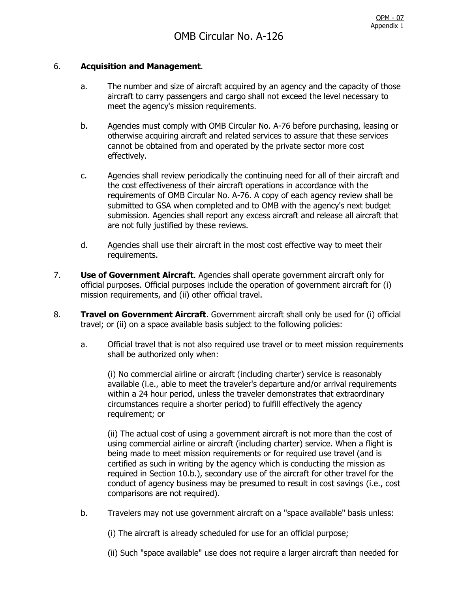#### 6. **Acquisition and Management**.

- a. The number and size of aircraft acquired by an agency and the capacity of those aircraft to carry passengers and cargo shall not exceed the level necessary to meet the agency's mission requirements.
- b. Agencies must comply with OMB Circular No. A-76 before purchasing, leasing or otherwise acquiring aircraft and related services to assure that these services cannot be obtained from and operated by the private sector more cost effectively.
- c. Agencies shall review periodically the continuing need for all of their aircraft and the cost effectiveness of their aircraft operations in accordance with the requirements of OMB Circular No. A-76. A copy of each agency review shall be submitted to GSA when completed and to OMB with the agency's next budget submission. Agencies shall report any excess aircraft and release all aircraft that are not fully justified by these reviews.
- d. Agencies shall use their aircraft in the most cost effective way to meet their requirements.
- 7. **Use of Government Aircraft**. Agencies shall operate government aircraft only for official purposes. Official purposes include the operation of government aircraft for (i) mission requirements, and (ii) other official travel.
- 8. **Travel on Government Aircraft**. Government aircraft shall only be used for (i) official travel; or (ii) on a space available basis subject to the following policies:
	- a. Official travel that is not also required use travel or to meet mission requirements shall be authorized only when:

(i) No commercial airline or aircraft (including charter) service is reasonably available (i.e., able to meet the traveler's departure and/or arrival requirements within a 24 hour period, unless the traveler demonstrates that extraordinary circumstances require a shorter period) to fulfill effectively the agency requirement; or

(ii) The actual cost of using a government aircraft is not more than the cost of using commercial airline or aircraft (including charter) service. When a flight is being made to meet mission requirements or for required use travel (and is certified as such in writing by the agency which is conducting the mission as required in Section 10.b.), secondary use of the aircraft for other travel for the conduct of agency business may be presumed to result in cost savings (i.e., cost comparisons are not required).

b. Travelers may not use government aircraft on a "space available" basis unless:

(i) The aircraft is already scheduled for use for an official purpose;

(ii) Such "space available" use does not require a larger aircraft than needed for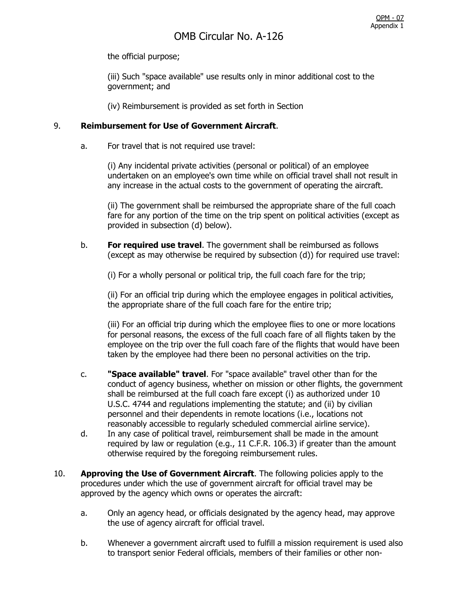the official purpose;

(iii) Such "space available" use results only in minor additional cost to the government; and

(iv) Reimbursement is provided as set forth in Section

#### 9. **Reimbursement for Use of Government Aircraft**.

a. For travel that is not required use travel:

(i) Any incidental private activities (personal or political) of an employee undertaken on an employee's own time while on official travel shall not result in any increase in the actual costs to the government of operating the aircraft.

(ii) The government shall be reimbursed the appropriate share of the full coach fare for any portion of the time on the trip spent on political activities (except as provided in subsection (d) below).

b. **For required use travel**. The government shall be reimbursed as follows (except as may otherwise be required by subsection (d)) for required use travel:

(i) For a wholly personal or political trip, the full coach fare for the trip;

(ii) For an official trip during which the employee engages in political activities, the appropriate share of the full coach fare for the entire trip;

(iii) For an official trip during which the employee flies to one or more locations for personal reasons, the excess of the full coach fare of all flights taken by the employee on the trip over the full coach fare of the flights that would have been taken by the employee had there been no personal activities on the trip.

- c. **"Space available" travel**. For "space available" travel other than for the conduct of agency business, whether on mission or other flights, the government shall be reimbursed at the full coach fare except (i) as authorized under 10 U.S.C. 4744 and regulations implementing the statute; and (ii) by civilian personnel and their dependents in remote locations (i.e., locations not reasonably accessible to regularly scheduled commercial airline service).
- d. In any case of political travel, reimbursement shall be made in the amount required by law or regulation (e.g., 11 C.F.R. 106.3) if greater than the amount otherwise required by the foregoing reimbursement rules.
- 10. **Approving the Use of Government Aircraft**. The following policies apply to the procedures under which the use of government aircraft for official travel may be approved by the agency which owns or operates the aircraft:
	- a. Only an agency head, or officials designated by the agency head, may approve the use of agency aircraft for official travel.
	- b. Whenever a government aircraft used to fulfill a mission requirement is used also to transport senior Federal officials, members of their families or other non-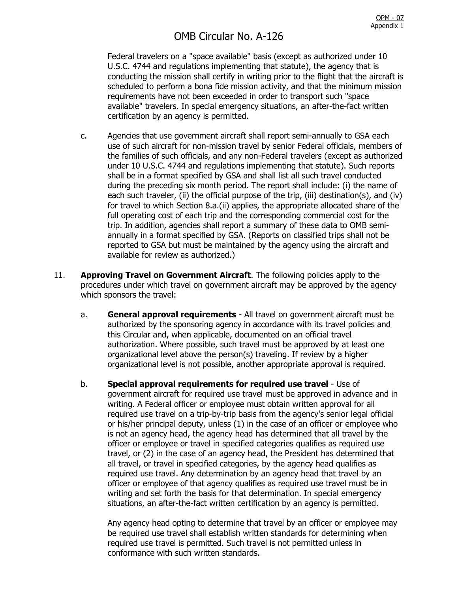## OMB Circular No. A-126

Federal travelers on a "space available" basis (except as authorized under 10 U.S.C. 4744 and regulations implementing that statute), the agency that is conducting the mission shall certify in writing prior to the flight that the aircraft is scheduled to perform a bona fide mission activity, and that the minimum mission requirements have not been exceeded in order to transport such "space available" travelers. In special emergency situations, an after-the-fact written certification by an agency is permitted.

- c. Agencies that use government aircraft shall report semi-annually to GSA each use of such aircraft for non-mission travel by senior Federal officials, members of the families of such officials, and any non-Federal travelers (except as authorized under 10 U.S.C. 4744 and regulations implementing that statute). Such reports shall be in a format specified by GSA and shall list all such travel conducted during the preceding six month period. The report shall include: (i) the name of each such traveler, (ii) the official purpose of the trip, (iii) destination(s), and (iv) for travel to which Section 8.a.(ii) applies, the appropriate allocated share of the full operating cost of each trip and the corresponding commercial cost for the trip. In addition, agencies shall report a summary of these data to OMB semiannually in a format specified by GSA. (Reports on classified trips shall not be reported to GSA but must be maintained by the agency using the aircraft and available for review as authorized.)
- 11. **Approving Travel on Government Aircraft**. The following policies apply to the procedures under which travel on government aircraft may be approved by the agency which sponsors the travel:
	- a. **General approval requirements** All travel on government aircraft must be authorized by the sponsoring agency in accordance with its travel policies and this Circular and, when applicable, documented on an official travel authorization. Where possible, such travel must be approved by at least one organizational level above the person(s) traveling. If review by a higher organizational level is not possible, another appropriate approval is required.
	- b. **Special approval requirements for required use travel** Use of government aircraft for required use travel must be approved in advance and in writing. A Federal officer or employee must obtain written approval for all required use travel on a trip-by-trip basis from the agency's senior legal official or his/her principal deputy, unless (1) in the case of an officer or employee who is not an agency head, the agency head has determined that all travel by the officer or employee or travel in specified categories qualifies as required use travel, or (2) in the case of an agency head, the President has determined that all travel, or travel in specified categories, by the agency head qualifies as required use travel. Any determination by an agency head that travel by an officer or employee of that agency qualifies as required use travel must be in writing and set forth the basis for that determination. In special emergency situations, an after-the-fact written certification by an agency is permitted.

Any agency head opting to determine that travel by an officer or employee may be required use travel shall establish written standards for determining when required use travel is permitted. Such travel is not permitted unless in conformance with such written standards.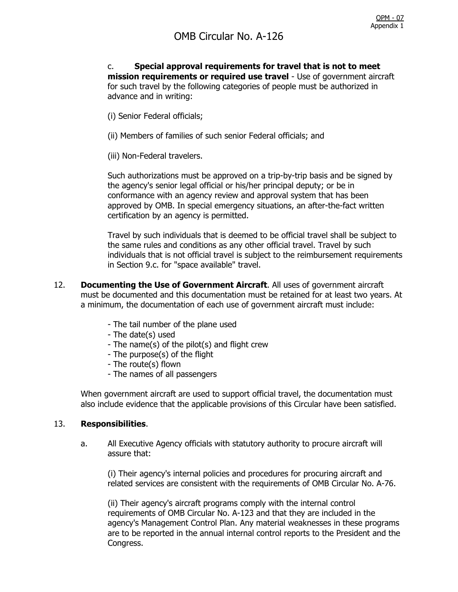c. **Special approval requirements for travel that is not to meet mission requirements or required use travel** - Use of government aircraft for such travel by the following categories of people must be authorized in advance and in writing:

- (i) Senior Federal officials;
- (ii) Members of families of such senior Federal officials; and
- (iii) Non-Federal travelers.

Such authorizations must be approved on a trip-by-trip basis and be signed by the agency's senior legal official or his/her principal deputy; or be in conformance with an agency review and approval system that has been approved by OMB. In special emergency situations, an after-the-fact written certification by an agency is permitted.

Travel by such individuals that is deemed to be official travel shall be subject to the same rules and conditions as any other official travel. Travel by such individuals that is not official travel is subject to the reimbursement requirements in Section 9.c. for "space available" travel.

- 12. **Documenting the Use of Government Aircraft**. All uses of government aircraft must be documented and this documentation must be retained for at least two years. At a minimum, the documentation of each use of government aircraft must include:
	- The tail number of the plane used
	- The date(s) used
	- The name(s) of the pilot(s) and flight crew
	- The purpose(s) of the flight
	- The route(s) flown
	- The names of all passengers

When government aircraft are used to support official travel, the documentation must also include evidence that the applicable provisions of this Circular have been satisfied.

#### 13. **Responsibilities**.

a. All Executive Agency officials with statutory authority to procure aircraft will assure that:

(i) Their agency's internal policies and procedures for procuring aircraft and related services are consistent with the requirements of OMB Circular No. A-76.

(ii) Their agency's aircraft programs comply with the internal control requirements of OMB Circular No. A-123 and that they are included in the agency's Management Control Plan. Any material weaknesses in these programs are to be reported in the annual internal control reports to the President and the Congress.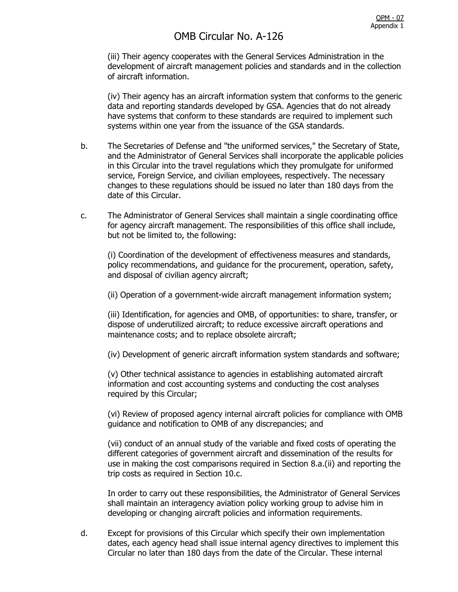# OMB Circular No. A-126

(iii) Their agency cooperates with the General Services Administration in the development of aircraft management policies and standards and in the collection of aircraft information.

(iv) Their agency has an aircraft information system that conforms to the generic data and reporting standards developed by GSA. Agencies that do not already have systems that conform to these standards are required to implement such systems within one year from the issuance of the GSA standards.

- b. The Secretaries of Defense and "the uniformed services," the Secretary of State, and the Administrator of General Services shall incorporate the applicable policies in this Circular into the travel regulations which they promulgate for uniformed service, Foreign Service, and civilian employees, respectively. The necessary changes to these regulations should be issued no later than 180 days from the date of this Circular.
- c. The Administrator of General Services shall maintain a single coordinating office for agency aircraft management. The responsibilities of this office shall include, but not be limited to, the following:

(i) Coordination of the development of effectiveness measures and standards, policy recommendations, and guidance for the procurement, operation, safety, and disposal of civilian agency aircraft;

(ii) Operation of a government-wide aircraft management information system;

(iii) Identification, for agencies and OMB, of opportunities: to share, transfer, or dispose of underutilized aircraft; to reduce excessive aircraft operations and maintenance costs; and to replace obsolete aircraft;

(iv) Development of generic aircraft information system standards and software;

(v) Other technical assistance to agencies in establishing automated aircraft information and cost accounting systems and conducting the cost analyses required by this Circular;

(vi) Review of proposed agency internal aircraft policies for compliance with OMB guidance and notification to OMB of any discrepancies; and

(vii) conduct of an annual study of the variable and fixed costs of operating the different categories of government aircraft and dissemination of the results for use in making the cost comparisons required in Section 8.a.(ii) and reporting the trip costs as required in Section 10.c.

In order to carry out these responsibilities, the Administrator of General Services shall maintain an interagency aviation policy working group to advise him in developing or changing aircraft policies and information requirements.

d. Except for provisions of this Circular which specify their own implementation dates, each agency head shall issue internal agency directives to implement this Circular no later than 180 days from the date of the Circular. These internal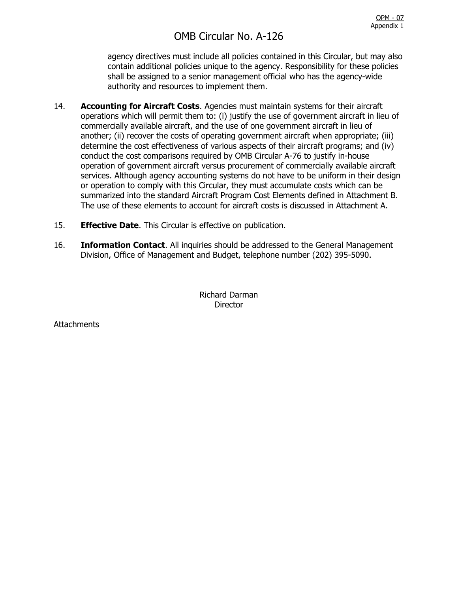agency directives must include all policies contained in this Circular, but may also contain additional policies unique to the agency. Responsibility for these policies shall be assigned to a senior management official who has the agency-wide authority and resources to implement them.

- 14. **Accounting for Aircraft Costs**. Agencies must maintain systems for their aircraft operations which will permit them to: (i) justify the use of government aircraft in lieu of commercially available aircraft, and the use of one government aircraft in lieu of another; (ii) recover the costs of operating government aircraft when appropriate; (iii) determine the cost effectiveness of various aspects of their aircraft programs; and (iv) conduct the cost comparisons required by OMB Circular A-76 to justify in-house operation of government aircraft versus procurement of commercially available aircraft services. Although agency accounting systems do not have to be uniform in their design or operation to comply with this Circular, they must accumulate costs which can be summarized into the standard Aircraft Program Cost Elements defined in Attachment B. The use of these elements to account for aircraft costs is discussed in Attachment A.
- 15. **Effective Date**. This Circular is effective on publication.
- 16. **Information Contact**. All inquiries should be addressed to the General Management Division, Office of Management and Budget, telephone number (202) 395-5090.

Richard Darman **Director** 

**Attachments**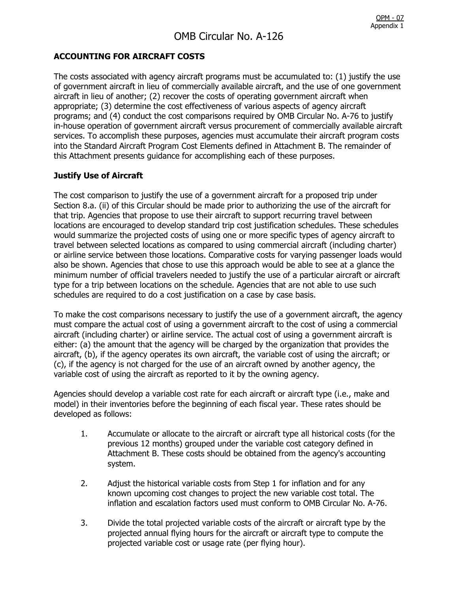## **ACCOUNTING FOR AIRCRAFT COSTS**

The costs associated with agency aircraft programs must be accumulated to: (1) justify the use of government aircraft in lieu of commercially available aircraft, and the use of one government aircraft in lieu of another; (2) recover the costs of operating government aircraft when appropriate; (3) determine the cost effectiveness of various aspects of agency aircraft programs; and (4) conduct the cost comparisons required by OMB Circular No. A-76 to justify in-house operation of government aircraft versus procurement of commercially available aircraft services. To accomplish these purposes, agencies must accumulate their aircraft program costs into the Standard Aircraft Program Cost Elements defined in Attachment B. The remainder of this Attachment presents guidance for accomplishing each of these purposes.

## **Justify Use of Aircraft**

The cost comparison to justify the use of a government aircraft for a proposed trip under Section 8.a. (ii) of this Circular should be made prior to authorizing the use of the aircraft for that trip. Agencies that propose to use their aircraft to support recurring travel between locations are encouraged to develop standard trip cost justification schedules. These schedules would summarize the projected costs of using one or more specific types of agency aircraft to travel between selected locations as compared to using commercial aircraft (including charter) or airline service between those locations. Comparative costs for varying passenger loads would also be shown. Agencies that chose to use this approach would be able to see at a glance the minimum number of official travelers needed to justify the use of a particular aircraft or aircraft type for a trip between locations on the schedule. Agencies that are not able to use such schedules are required to do a cost justification on a case by case basis.

To make the cost comparisons necessary to justify the use of a government aircraft, the agency must compare the actual cost of using a government aircraft to the cost of using a commercial aircraft (including charter) or airline service. The actual cost of using a government aircraft is either: (a) the amount that the agency will be charged by the organization that provides the aircraft, (b), if the agency operates its own aircraft, the variable cost of using the aircraft; or (c), if the agency is not charged for the use of an aircraft owned by another agency, the variable cost of using the aircraft as reported to it by the owning agency.

Agencies should develop a variable cost rate for each aircraft or aircraft type (i.e., make and model) in their inventories before the beginning of each fiscal year. These rates should be developed as follows:

- 1. Accumulate or allocate to the aircraft or aircraft type all historical costs (for the previous 12 months) grouped under the variable cost category defined in Attachment B. These costs should be obtained from the agency's accounting system.
- 2. Adjust the historical variable costs from Step 1 for inflation and for any known upcoming cost changes to project the new variable cost total. The inflation and escalation factors used must conform to OMB Circular No. A-76.
- 3. Divide the total projected variable costs of the aircraft or aircraft type by the projected annual flying hours for the aircraft or aircraft type to compute the projected variable cost or usage rate (per flying hour).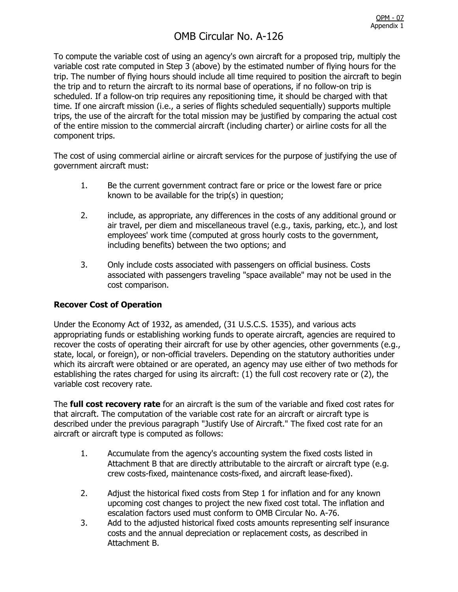# OMB Circular No. A-126

To compute the variable cost of using an agency's own aircraft for a proposed trip, multiply the variable cost rate computed in Step 3 (above) by the estimated number of flying hours for the trip. The number of flying hours should include all time required to position the aircraft to begin the trip and to return the aircraft to its normal base of operations, if no follow-on trip is scheduled. If a follow-on trip requires any repositioning time, it should be charged with that time. If one aircraft mission (i.e., a series of flights scheduled sequentially) supports multiple trips, the use of the aircraft for the total mission may be justified by comparing the actual cost of the entire mission to the commercial aircraft (including charter) or airline costs for all the component trips.

The cost of using commercial airline or aircraft services for the purpose of justifying the use of government aircraft must:

- 1. Be the current government contract fare or price or the lowest fare or price known to be available for the trip(s) in question;
- 2. include, as appropriate, any differences in the costs of any additional ground or air travel, per diem and miscellaneous travel (e.g., taxis, parking, etc.), and lost employees' work time (computed at gross hourly costs to the government, including benefits) between the two options; and
- 3. Only include costs associated with passengers on official business. Costs associated with passengers traveling "space available" may not be used in the cost comparison.

## **Recover Cost of Operation**

Under the Economy Act of 1932, as amended, (31 U.S.C.S. 1535), and various acts appropriating funds or establishing working funds to operate aircraft, agencies are required to recover the costs of operating their aircraft for use by other agencies, other governments (e.g., state, local, or foreign), or non-official travelers. Depending on the statutory authorities under which its aircraft were obtained or are operated, an agency may use either of two methods for establishing the rates charged for using its aircraft: (1) the full cost recovery rate or (2), the variable cost recovery rate.

The **full cost recovery rate** for an aircraft is the sum of the variable and fixed cost rates for that aircraft. The computation of the variable cost rate for an aircraft or aircraft type is described under the previous paragraph "Justify Use of Aircraft." The fixed cost rate for an aircraft or aircraft type is computed as follows:

- 1. Accumulate from the agency's accounting system the fixed costs listed in Attachment B that are directly attributable to the aircraft or aircraft type (e.g. crew costs-fixed, maintenance costs-fixed, and aircraft lease-fixed).
- 2. Adjust the historical fixed costs from Step 1 for inflation and for any known upcoming cost changes to project the new fixed cost total. The inflation and escalation factors used must conform to OMB Circular No. A-76.
- 3. Add to the adjusted historical fixed costs amounts representing self insurance costs and the annual depreciation or replacement costs, as described in Attachment B.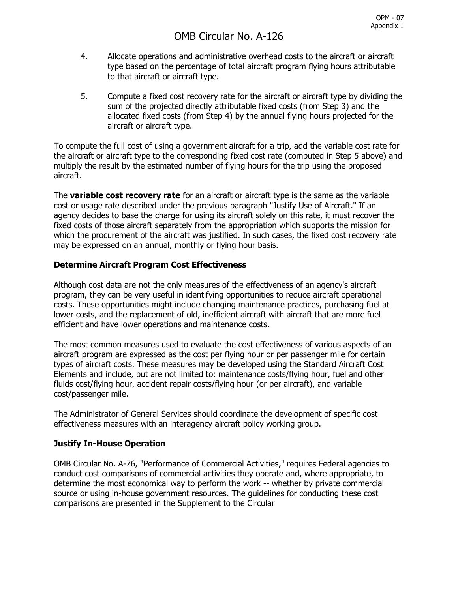- 4. Allocate operations and administrative overhead costs to the aircraft or aircraft type based on the percentage of total aircraft program flying hours attributable to that aircraft or aircraft type.
- 5. Compute a fixed cost recovery rate for the aircraft or aircraft type by dividing the sum of the projected directly attributable fixed costs (from Step 3) and the allocated fixed costs (from Step 4) by the annual flying hours projected for the aircraft or aircraft type.

To compute the full cost of using a government aircraft for a trip, add the variable cost rate for the aircraft or aircraft type to the corresponding fixed cost rate (computed in Step 5 above) and multiply the result by the estimated number of flying hours for the trip using the proposed aircraft.

The **variable cost recovery rate** for an aircraft or aircraft type is the same as the variable cost or usage rate described under the previous paragraph "Justify Use of Aircraft." If an agency decides to base the charge for using its aircraft solely on this rate, it must recover the fixed costs of those aircraft separately from the appropriation which supports the mission for which the procurement of the aircraft was justified. In such cases, the fixed cost recovery rate may be expressed on an annual, monthly or flying hour basis.

## **Determine Aircraft Program Cost Effectiveness**

Although cost data are not the only measures of the effectiveness of an agency's aircraft program, they can be very useful in identifying opportunities to reduce aircraft operational costs. These opportunities might include changing maintenance practices, purchasing fuel at lower costs, and the replacement of old, inefficient aircraft with aircraft that are more fuel efficient and have lower operations and maintenance costs.

The most common measures used to evaluate the cost effectiveness of various aspects of an aircraft program are expressed as the cost per flying hour or per passenger mile for certain types of aircraft costs. These measures may be developed using the Standard Aircraft Cost Elements and include, but are not limited to: maintenance costs/flying hour, fuel and other fluids cost/flying hour, accident repair costs/flying hour (or per aircraft), and variable cost/passenger mile.

The Administrator of General Services should coordinate the development of specific cost effectiveness measures with an interagency aircraft policy working group.

## **Justify In-House Operation**

OMB Circular No. A-76, "Performance of Commercial Activities," requires Federal agencies to conduct cost comparisons of commercial activities they operate and, where appropriate, to determine the most economical way to perform the work -- whether by private commercial source or using in-house government resources. The guidelines for conducting these cost comparisons are presented in the Supplement to the Circular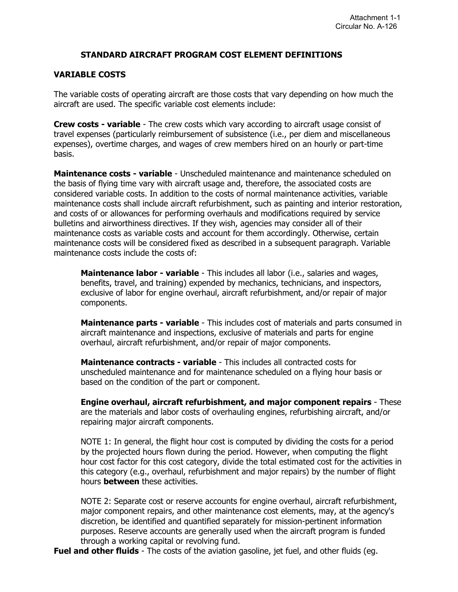#### **STANDARD AIRCRAFT PROGRAM COST ELEMENT DEFINITIONS**

#### **VARIABLE COSTS**

The variable costs of operating aircraft are those costs that vary depending on how much the aircraft are used. The specific variable cost elements include:

**Crew costs - variable** - The crew costs which vary according to aircraft usage consist of travel expenses (particularly reimbursement of subsistence (i.e., per diem and miscellaneous expenses), overtime charges, and wages of crew members hired on an hourly or part-time basis.

**Maintenance costs - variable** - Unscheduled maintenance and maintenance scheduled on the basis of flying time vary with aircraft usage and, therefore, the associated costs are considered variable costs. In addition to the costs of normal maintenance activities, variable maintenance costs shall include aircraft refurbishment, such as painting and interior restoration, and costs of or allowances for performing overhauls and modifications required by service bulletins and airworthiness directives. If they wish, agencies may consider all of their maintenance costs as variable costs and account for them accordingly. Otherwise, certain maintenance costs will be considered fixed as described in a subsequent paragraph. Variable maintenance costs include the costs of:

**Maintenance labor - variable** - This includes all labor (i.e., salaries and wages, benefits, travel, and training) expended by mechanics, technicians, and inspectors, exclusive of labor for engine overhaul, aircraft refurbishment, and/or repair of major components.

**Maintenance parts - variable** - This includes cost of materials and parts consumed in aircraft maintenance and inspections, exclusive of materials and parts for engine overhaul, aircraft refurbishment, and/or repair of major components.

**Maintenance contracts - variable** - This includes all contracted costs for unscheduled maintenance and for maintenance scheduled on a flying hour basis or based on the condition of the part or component.

**Engine overhaul, aircraft refurbishment, and major component repairs** - These are the materials and labor costs of overhauling engines, refurbishing aircraft, and/or repairing major aircraft components.

NOTE 1: In general, the flight hour cost is computed by dividing the costs for a period by the projected hours flown during the period. However, when computing the flight hour cost factor for this cost category, divide the total estimated cost for the activities in this category (e.g., overhaul, refurbishment and major repairs) by the number of flight hours **between** these activities.

NOTE 2: Separate cost or reserve accounts for engine overhaul, aircraft refurbishment, major component repairs, and other maintenance cost elements, may, at the agency's discretion, be identified and quantified separately for mission-pertinent information purposes. Reserve accounts are generally used when the aircraft program is funded through a working capital or revolving fund.

**Fuel and other fluids** - The costs of the aviation gasoline, jet fuel, and other fluids (eg.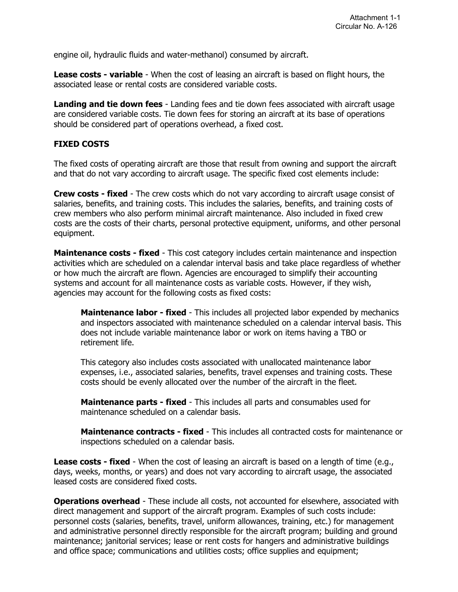engine oil, hydraulic fluids and water-methanol) consumed by aircraft.

**Lease costs - variable** - When the cost of leasing an aircraft is based on flight hours, the associated lease or rental costs are considered variable costs.

**Landing and tie down fees** - Landing fees and tie down fees associated with aircraft usage are considered variable costs. Tie down fees for storing an aircraft at its base of operations should be considered part of operations overhead, a fixed cost.

## **FIXED COSTS**

The fixed costs of operating aircraft are those that result from owning and support the aircraft and that do not vary according to aircraft usage. The specific fixed cost elements include:

**Crew costs - fixed** - The crew costs which do not vary according to aircraft usage consist of salaries, benefits, and training costs. This includes the salaries, benefits, and training costs of crew members who also perform minimal aircraft maintenance. Also included in fixed crew costs are the costs of their charts, personal protective equipment, uniforms, and other personal equipment.

**Maintenance costs - fixed** - This cost category includes certain maintenance and inspection activities which are scheduled on a calendar interval basis and take place regardless of whether or how much the aircraft are flown. Agencies are encouraged to simplify their accounting systems and account for all maintenance costs as variable costs. However, if they wish, agencies may account for the following costs as fixed costs:

**Maintenance labor - fixed** - This includes all projected labor expended by mechanics and inspectors associated with maintenance scheduled on a calendar interval basis. This does not include variable maintenance labor or work on items having a TBO or retirement life.

This category also includes costs associated with unallocated maintenance labor expenses, i.e., associated salaries, benefits, travel expenses and training costs. These costs should be evenly allocated over the number of the aircraft in the fleet.

**Maintenance parts - fixed** - This includes all parts and consumables used for maintenance scheduled on a calendar basis.

**Maintenance contracts - fixed** - This includes all contracted costs for maintenance or inspections scheduled on a calendar basis.

**Lease costs - fixed** - When the cost of leasing an aircraft is based on a length of time (e.g., days, weeks, months, or years) and does not vary according to aircraft usage, the associated leased costs are considered fixed costs.

**Operations overhead** - These include all costs, not accounted for elsewhere, associated with direct management and support of the aircraft program. Examples of such costs include: personnel costs (salaries, benefits, travel, uniform allowances, training, etc.) for management and administrative personnel directly responsible for the aircraft program; building and ground maintenance; janitorial services; lease or rent costs for hangers and administrative buildings and office space; communications and utilities costs; office supplies and equipment;